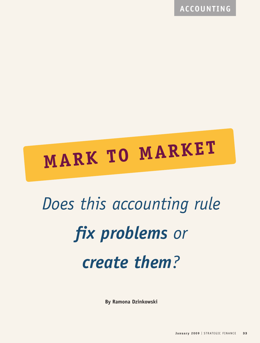**ACCOUNTING**

# **MARK TO MARKET**

# *Does this accounting rule fix problems or create them?*

**By Ramona Dzinkowski**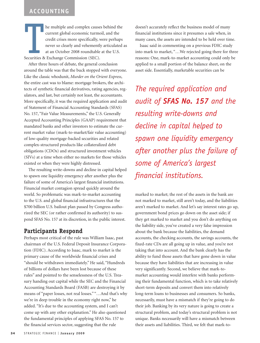# **ACCOUNTING**

ALLO<br>
—<br>
—<br>
—<br>
—<br>
—<br>
—<br>
—<br>
—<br><br><br><br><br><br><br><br><br> he multiple and complex causes behind the current global economic turmoil, and the credit crises more specifically, were perhaps never so clearly and vehemently articulated as at an October 2008 roundtable at the U.S. Securities & Exchange Commission (SEC).

After three hours of debate, the general conclusion around the table was that the buck stopped with everyone. Like the classic whodunit, *Murder on the Orient Express*, the entire cast was to blame: mortgage brokers, the architects of synthetic financial derivatives, rating agencies, regulators, and last, but certainly not least, the accountants. More specifically, it was the required application and audit of Statement of Financial Accounting Standards (SFAS) No. 157, "Fair Value Measurements," the U.S. Generally Accepted Accounting Principles (GAAP) requirement that mandated banks and other investors to estimate the current market value (mark-to-market/fair value accounting) of low-quality mortgage-backed securities and related complex-structured products like collateralized debt obligations (CDOs) and structured investment vehicles (SIVs) at a time when either no markets for those vehicles existed or when they were highly distressed.

The resulting write-downs and decline in capital helped to spawn one liquidity emergency after another plus the failure of some of America's largest financial institutions. Financial market contagion spread quickly around the world. So problematic was mark-to-market accounting to the U.S. and global financial infrastructures that the \$700 billion U.S. bailout plan passed by Congress authorized the SEC (or rather confirmed its authority) to suspend SFAS No. 157 at its discretion, in the public interest.

### **Participants Respond**

Perhaps most critical of the rule was William Isaac, past chairman of the U.S. Federal Deposit Insurance Corporation (FDIC). According to Isaac, mark to market is the primary cause of the worldwide financial crises and "should be withdrawn immediately." He said, "Hundreds of billions of dollars have been lost because of these rules" and pointed to the senselessness of the U.S. Treasury handing out capital while the SEC and the Financial Accounting Standards Board (FASB) are destroying it by means of "paper losses, not real losses." "…And that's why we're in deep trouble in the economy right now," he added. "It's due to the accounting system, and I can't come up with any other explanation." He also questioned the fundamental principles of applying SFAS No. 157 to the financial services sector, suggesting that the rule

doesn't accurately reflect the business model of many financial institutions since it presumes a sale when, in many cases, the assets are intended to be held over time.

Isaac said in commenting on a previous FDIC study into mark to market, "…We rejected going there for three reasons: One, mark-to-market accounting could only be applied to a small portion of the balance sheet, on the asset side. Essentially, marketable securities can be

*The required application and audit of SFAS No. 157 and the resulting write-downs and decline in capital helped to spawn one liquidity emergency after another plus the failure of some of America's largest financial institutions.* 

marked to market; the rest of the assets in the bank are not marked to market, still aren't today, and the liabilities aren't marked to market. And let's say interest rates go up, government bond prices go down on the asset side; if they get marked to market and you don't do anything on the liability side, you've created a very false impression about the bank because the liabilities, the demand accounts, the checking accounts, the savings accounts, the fixed-rate CDs are all going up in value, and you're not taking that into account. And the bank clearly has the ability to fund those assets that have gone down in value because they have liabilities that are increasing in value very significantly. Second, we believe that mark-tomarket accounting would interfere with banks performing their fundamental function, which is to take relatively short-term deposits and convert them into relatively long-term loans to businesses and consumers. So banks, necessarily, must have a mismatch if they're going to do their job. Banking by its very nature is going to create a structural problem, and today's structural problem is not unique. Banks necessarily will have a mismatch between their assets and liabilities. Third, we felt that mark-to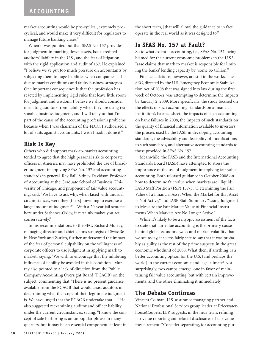market accounting would be pro-cyclical, extremely procyclical, and would make it very difficult for regulators to manage future banking crises."

When it was pointed out that SFAS No. 157 provides for judgment in marking down assets, Isaac credited auditors' liability in the U.S., and the fear of litigation, with the rigid application and audit of 157. He explained: "I believe we've put too much pressure on accountants by subjecting them to huge liabilities when companies fail due to market conditions and faulty business strategies. One important consequence is that the profession has reacted by implementing rigid rules that leave little room for judgment and wisdom. I believe we should consider insulating auditors from liability when they are using reasonable business judgment, and I will tell you that I'm part of the cause of the accounting profession's problems because when I was chairman of the FDIC, I authorized a lot of suits against accountants. I wish I hadn't done it."

### **Risk Is Key**

Others who did support mark-to-market accounting tended to agree that the high personal risk to corporate officers in America may have prohibited the use of broader judgment in applying SFAS No. 157 and accounting standards in general. Ray Ball, Sidney Davidson Professor of Accounting at the Graduate School of Business, University of Chicago, and proponent of fair value accounting, said, "We have to ask why, when faced with unusual circumstances, were they [filers] unwilling to exercise a large amount of judgment?…With a 20-year jail sentence here under Sarbanes-Oxley, it certainly makes you act conservatively."

In his recommendations to the SEC, Richard Murray, managing director and chief claims strategist of SwissRe in New York and Zurich, further underscored the impact of the fear of personal culpability on the willingness of corporate officers to use judgment in applying mark to market, saying, "We wish to encourage that the inhibiting influence of liability be avoided in this condition." Murray also pointed to a lack of direction from the Public Company Accounting Oversight Board (PCAOB) on the subject, commenting that "There is no present guidance available from the PCAOB that would assist auditors in determining what the scope of their legitimate judgment is. We have urged that the PCAOB undertake that…." He also suggested reexamining auditor and officer liability under the current circumstances, saying, "I know the concept of safe harboring is an unpopular phrase in many quarters, but it may be an essential component, at least in

the short term, [that will allow] the guidance to in fact operate in the real world as it was designed to."

## **Is SFAS No. 157 at Fault?**

So to what extent is accounting, i.e., SFAS No. 157, being blamed for the current economic problems in the U.S.? Isaac claims that mark to market is responsible for limiting the banks' lending capacity by "some \$5 trillion."

Final calculations, however, are still in the works. The SEC, directed by the U.S. Emergency Economic Stabilization Act of 2008 that was signed into law during the first week of October, was attempting to determine the impacts by January 2, 2009. More specifically, the study focused on the effects of such accounting standards on a financial institution's balance sheet, the impacts of such accounting on bank failures in 2008, the impacts of such standards on the quality of financial information available to investors, the process used by the FASB in developing accounting standards, the advisability and feasibility of modifications to such standards, and alternative accounting standards to those provided in SFAS No. 157.

Meanwhile, the FASB and the International Accounting Standards Board (IASB) have attempted to stress the importance of the use of judgment in applying fair value accounting. Both released guidance in October 2008 on how to determine fair value when markets are illiquid: FASB Staff Position (FSP) 157-3, "Determining the Fair Value of a Financial Asset When the Market for that Asset Is Not Active," and IASB Staff Summary "Using Judgment to Measure the Fair Market Value of Financial Instruments When Markets Are No Longer Active."

While it's likely to be a myopic assessment of the facts to state that fair value accounting is the primary cause behind global economic woes and market volatility that we see today, it seems fairly safe to say that it was probably as guilty as the rest of the prime suspects in the great economic whodunit of 2008. What then, if anything, is a better accounting option for the U.S. (and perhaps the world) in the current economic and legal climate? Not surprisingly, two camps emerge, one in favor of maintaining fair value accounting, but with certain improvements, and the other eliminating it immediately.

### **The Debate Continues**

Vincent Colman, U.S. assurance managing partner and National Professional Services group leader at PricewaterhouseCoopers, LLP, suggests, in the near term, refining fair value reporting and related disclosures of fair value measurement: "Consider separating, for accounting pur-